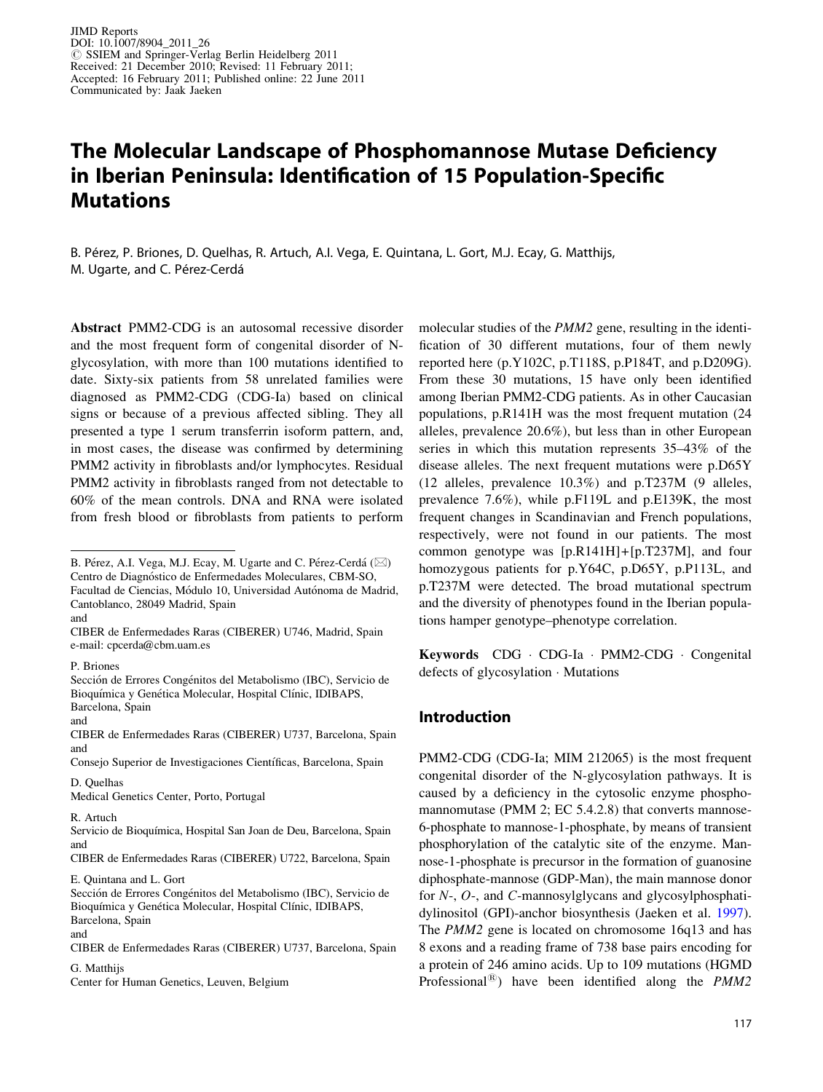# The Molecular Landscape of Phosphomannose Mutase Deficiency in Iberian Peninsula: Identification of 15 Population-Specific Mutations

B. Pe´rez, P. Briones, D. Quelhas, R. Artuch, A.I. Vega, E. Quintana, L. Gort, M.J. Ecay, G. Matthijs, M. Ugarte, and C. Pérez-Cerdá

Abstract PMM2-CDG is an autosomal recessive disorder and the most frequent form of congenital disorder of Nglycosylation, with more than 100 mutations identified to date. Sixty-six patients from 58 unrelated families were diagnosed as PMM2-CDG (CDG-Ia) based on clinical signs or because of a previous affected sibling. They all presented a type 1 serum transferrin isoform pattern, and, in most cases, the disease was confirmed by determining PMM2 activity in fibroblasts and/or lymphocytes. Residual PMM2 activity in fibroblasts ranged from not detectable to 60% of the mean controls. DNA and RNA were isolated from fresh blood or fibroblasts from patients to perform

and

D. Quelhas

Medical Genetics Center, Porto, Portugal

CIBER de Enfermedades Raras (CIBERER) U722, Barcelona, Spain E. Quintana and L. Gort

Sección de Errores Congénitos del Metabolismo (IBC), Servicio de Bioquímica y Genética Molecular, Hospital Clínic, IDIBAPS, Barcelona, Spain

G. Matthijs

Center for Human Genetics, Leuven, Belgium

molecular studies of the PMM2 gene, resulting in the identification of 30 different mutations, four of them newly reported here (p.Y102C, p.T118S, p.P184T, and p.D209G). From these 30 mutations, 15 have only been identified among Iberian PMM2-CDG patients. As in other Caucasian populations, p.R141H was the most frequent mutation (24 alleles, prevalence 20.6%), but less than in other European series in which this mutation represents 35–43% of the disease alleles. The next frequent mutations were p.D65Y (12 alleles, prevalence 10.3%) and p.T237M (9 alleles, prevalence 7.6%), while p.F119L and p.E139K, the most frequent changes in Scandinavian and French populations, respectively, were not found in our patients. The most common genotype was  $[p.R141H]+ [p.T237M]$ , and four homozygous patients for p.Y64C, p.D65Y, p.P113L, and p.T237M were detected. The broad mutational spectrum and the diversity of phenotypes found in the Iberian populations hamper genotype–phenotype correlation.

Keywords CDG · CDG-Ia · PMM2-CDG · Congenital defects of glycosylation  $\cdot$  Mutations

# Introduction

PMM2-CDG (CDG-Ia; MIM 212065) is the most frequent congenital disorder of the N-glycosylation pathways. It is caused by a deficiency in the cytosolic enzyme phosphomannomutase (PMM 2; EC 5.4.2.8) that converts mannose-6-phosphate to mannose-1-phosphate, by means of transient phosphorylation of the catalytic site of the enzyme. Mannose-1-phosphate is precursor in the formation of guanosine diphosphate-mannose (GDP-Man), the main mannose donor for N-, O-, and C-mannosylglycans and glycosylphosphatidylinositol (GPI)-anchor biosynthesis (Jaeken et al. [1997](#page-5-0)). The PMM2 gene is located on chromosome 16q13 and has 8 exons and a reading frame of 738 base pairs encoding for a protein of 246 amino acids. Up to 109 mutations (HGMD Professional<sup>®</sup>) have been identified along the  $PMM2$ 

B. Pérez, A.I. Vega, M.J. Ecay, M. Ugarte and C. Pérez-Cerdá ( $\boxtimes$ ) Centro de Diagnóstico de Enfermedades Moleculares, CBM-SO, Facultad de Ciencias, Módulo 10, Universidad Autónoma de Madrid, Cantoblanco, 28049 Madrid, Spain

and CIBER de Enfermedades Raras (CIBERER) U746, Madrid, Spain e-mail: cpcerda@cbm.uam.es

P. Briones

Sección de Errores Congénitos del Metabolismo (IBC), Servicio de Bioquímica y Genética Molecular, Hospital Clínic, IDIBAPS, Barcelona, Spain

CIBER de Enfermedades Raras (CIBERER) U737, Barcelona, Spain and

Consejo Superior de Investigaciones Científicas, Barcelona, Spain

R. Artuch

Servicio de Bioquímica, Hospital San Joan de Deu, Barcelona, Spain and

and

CIBER de Enfermedades Raras (CIBERER) U737, Barcelona, Spain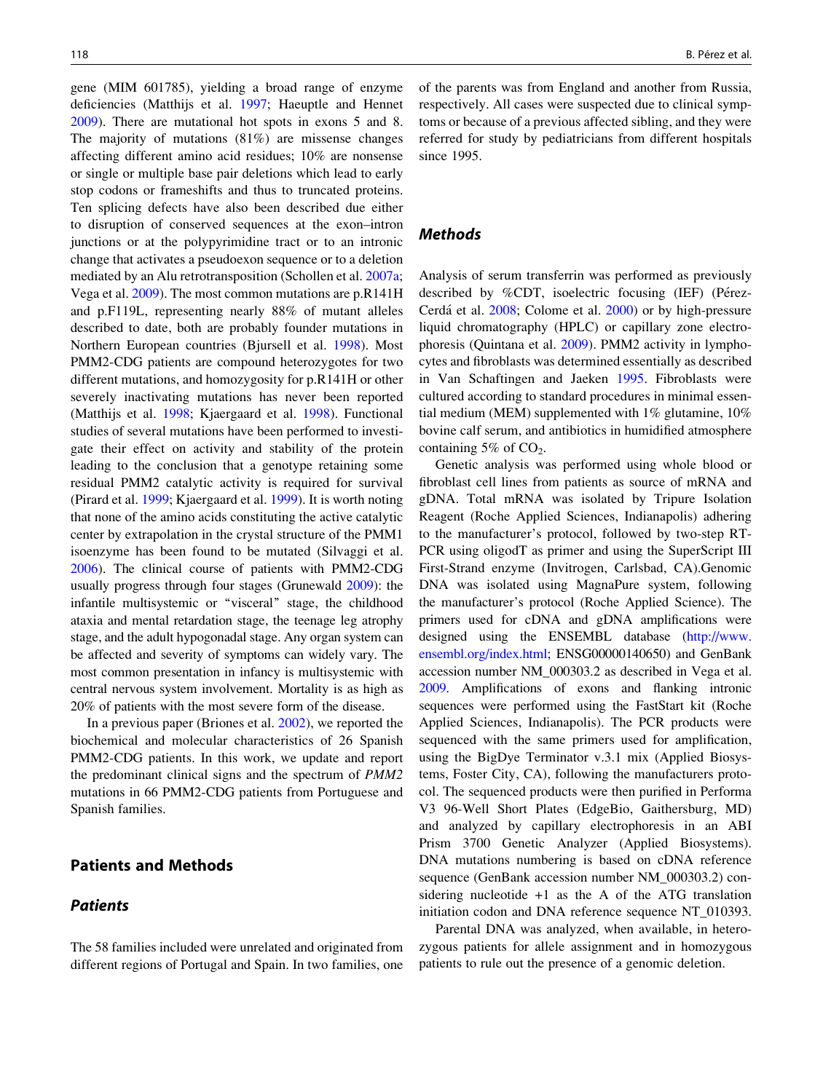gene (MIM 601785), yielding a broad range of enzyme deficiencies (Matthijs et al. [1997](#page-6-0); Haeuptle and Hennet [2009\)](#page-5-0). There are mutational hot spots in exons 5 and 8. The majority of mutations (81%) are missense changes affecting different amino acid residues; 10% are nonsense or single or multiple base pair deletions which lead to early stop codons or frameshifts and thus to truncated proteins. Ten splicing defects have also been described due either to disruption of conserved sequences at the exon–intron junctions or at the polypyrimidine tract or to an intronic change that activates a pseudoexon sequence or to a deletion mediated by an Alu retrotransposition (Schollen et al. [2007a](#page-6-0); Vega et al. [2009](#page-6-0)). The most common mutations are p.R141H and p.F119L, representing nearly 88% of mutant alleles described to date, both are probably founder mutations in Northern European countries (Bjursell et al. [1998](#page-5-0)). Most PMM2-CDG patients are compound heterozygotes for two different mutations, and homozygosity for p.R141H or other severely inactivating mutations has never been reported (Matthijs et al. [1998;](#page-6-0) Kjaergaard et al. [1998](#page-5-0)). Functional studies of several mutations have been performed to investigate their effect on activity and stability of the protein leading to the conclusion that a genotype retaining some residual PMM2 catalytic activity is required for survival (Pirard et al. [1999](#page-6-0); Kjaergaard et al. [1999\)](#page-5-0). It is worth noting that none of the amino acids constituting the active catalytic center by extrapolation in the crystal structure of the PMM1 isoenzyme has been found to be mutated (Silvaggi et al. [2006\)](#page-6-0). The clinical course of patients with PMM2-CDG usually progress through four stages (Grunewald [2009](#page-5-0)): the infantile multisystemic or ''visceral'' stage, the childhood ataxia and mental retardation stage, the teenage leg atrophy stage, and the adult hypogonadal stage. Any organ system can be affected and severity of symptoms can widely vary. The most common presentation in infancy is multisystemic with central nervous system involvement. Mortality is as high as 20% of patients with the most severe form of the disease.

In a previous paper (Briones et al. [2002](#page-5-0)), we reported the biochemical and molecular characteristics of 26 Spanish PMM2-CDG patients. In this work, we update and report the predominant clinical signs and the spectrum of PMM2 mutations in 66 PMM2-CDG patients from Portuguese and Spanish families.

# Patients and Methods

## **Patients**

The 58 families included were unrelated and originated from different regions of Portugal and Spain. In two families, one of the parents was from England and another from Russia, respectively. All cases were suspected due to clinical symptoms or because of a previous affected sibling, and they were referred for study by pediatricians from different hospitals since 1995.

### Methods

Analysis of serum transferrin was performed as previously described by  $%$ CDT, isoelectric focusing (IEF) (Pérez-Cerdá et al. [2008](#page-6-0); Colome et al. [2000](#page-5-0)) or by high-pressure liquid chromatography (HPLC) or capillary zone electrophoresis (Quintana et al. [2009\)](#page-6-0). PMM2 activity in lymphocytes and fibroblasts was determined essentially as described in Van Schaftingen and Jaeken [1995](#page-6-0). Fibroblasts were cultured according to standard procedures in minimal essential medium (MEM) supplemented with 1% glutamine, 10% bovine calf serum, and antibiotics in humidified atmosphere containing  $5\%$  of CO<sub>2</sub>.

Genetic analysis was performed using whole blood or fibroblast cell lines from patients as source of mRNA and gDNA. Total mRNA was isolated by Tripure Isolation Reagent (Roche Applied Sciences, Indianapolis) adhering to the manufacturer's protocol, followed by two-step RT-PCR using oligodT as primer and using the SuperScript III First-Strand enzyme (Invitrogen, Carlsbad, CA).Genomic DNA was isolated using MagnaPure system, following the manufacturer's protocol (Roche Applied Science). The primers used for cDNA and gDNA amplifications were designed using the ENSEMBL database [\(http://www.](http://www.ensembl.org/index.html) [ensembl.org/index.html](http://www.ensembl.org/index.html); ENSG00000140650) and GenBank accession number NM\_000303.2 as described in Vega et al. [2009.](#page-6-0) Amplifications of exons and flanking intronic sequences were performed using the FastStart kit (Roche Applied Sciences, Indianapolis). The PCR products were sequenced with the same primers used for amplification, using the BigDye Terminator v.3.1 mix (Applied Biosystems, Foster City, CA), following the manufacturers protocol. The sequenced products were then purified in Performa V3 96-Well Short Plates (EdgeBio, Gaithersburg, MD) and analyzed by capillary electrophoresis in an ABI Prism 3700 Genetic Analyzer (Applied Biosystems). DNA mutations numbering is based on cDNA reference sequence (GenBank accession number NM\_000303.2) considering nucleotide  $+1$  as the A of the ATG translation initiation codon and DNA reference sequence NT\_010393.

Parental DNA was analyzed, when available, in heterozygous patients for allele assignment and in homozygous patients to rule out the presence of a genomic deletion.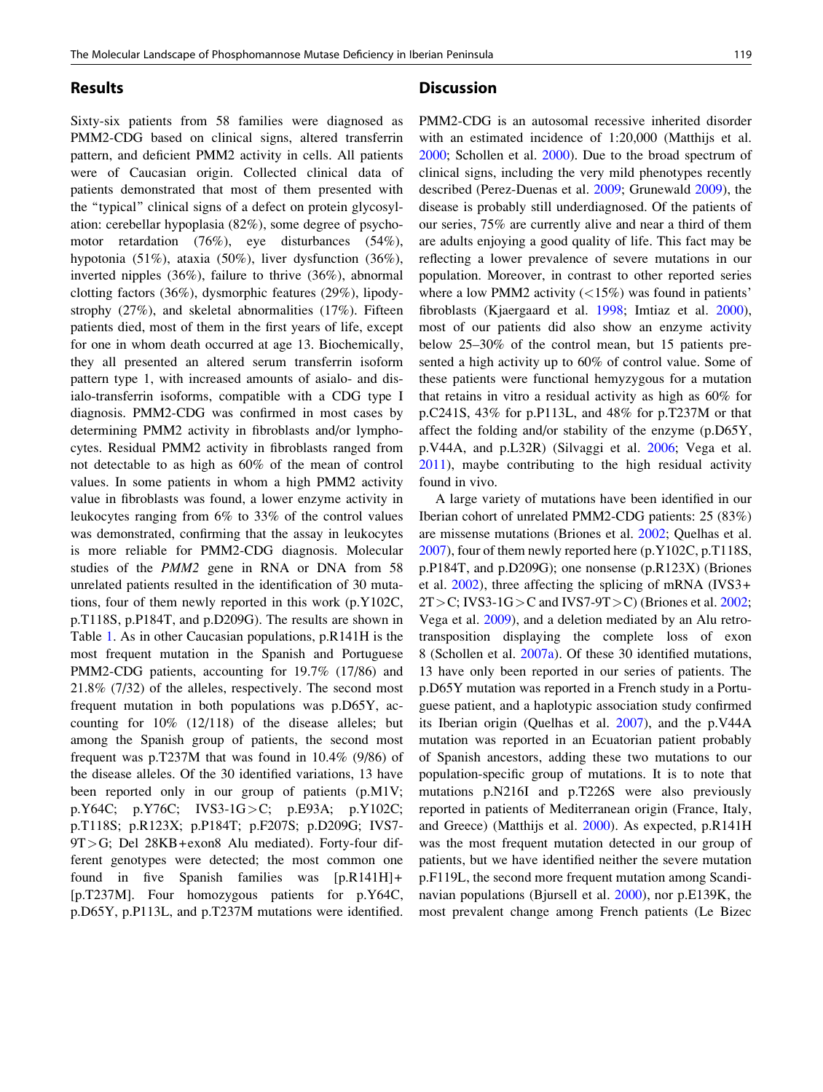Sixty-six patients from 58 families were diagnosed as PMM2-CDG based on clinical signs, altered transferrin pattern, and deficient PMM2 activity in cells. All patients were of Caucasian origin. Collected clinical data of patients demonstrated that most of them presented with the ''typical'' clinical signs of a defect on protein glycosylation: cerebellar hypoplasia (82%), some degree of psychomotor retardation (76%), eye disturbances (54%), hypotonia (51%), ataxia (50%), liver dysfunction (36%), inverted nipples (36%), failure to thrive (36%), abnormal clotting factors (36%), dysmorphic features (29%), lipodystrophy (27%), and skeletal abnormalities (17%). Fifteen patients died, most of them in the first years of life, except for one in whom death occurred at age 13. Biochemically, they all presented an altered serum transferrin isoform pattern type 1, with increased amounts of asialo- and disialo-transferrin isoforms, compatible with a CDG type I diagnosis. PMM2-CDG was confirmed in most cases by determining PMM2 activity in fibroblasts and/or lymphocytes. Residual PMM2 activity in fibroblasts ranged from not detectable to as high as 60% of the mean of control values. In some patients in whom a high PMM2 activity value in fibroblasts was found, a lower enzyme activity in leukocytes ranging from 6% to 33% of the control values was demonstrated, confirming that the assay in leukocytes is more reliable for PMM2-CDG diagnosis. Molecular studies of the PMM2 gene in RNA or DNA from 58 unrelated patients resulted in the identification of 30 mutations, four of them newly reported in this work (p.Y102C, p.T118S, p.P184T, and p.D209G). The results are shown in Table [1.](#page-3-0) As in other Caucasian populations, p.R141H is the most frequent mutation in the Spanish and Portuguese PMM2-CDG patients, accounting for 19.7% (17/86) and 21.8% (7/32) of the alleles, respectively. The second most frequent mutation in both populations was p.D65Y, accounting for 10% (12/118) of the disease alleles; but among the Spanish group of patients, the second most frequent was p.T237M that was found in 10.4% (9/86) of the disease alleles. Of the 30 identified variations, 13 have been reported only in our group of patients (p.M1V; p.Y64C; p.Y76C; IVS3-1G>C; p.E93A; p.Y102C; p.T118S; p.R123X; p.P184T; p.F207S; p.D209G; IVS7- 9T>G; Del 28KB+exon8 Alu mediated). Forty-four different genotypes were detected; the most common one found in five Spanish families was [p.R141H]+ [p.T237M]. Four homozygous patients for p.Y64C, p.D65Y, p.P113L, and p.T237M mutations were identified.

#### **Discussion**

PMM2-CDG is an autosomal recessive inherited disorder with an estimated incidence of 1:20,000 (Matthijs et al. [2000](#page-6-0); Schollen et al. [2000](#page-6-0)). Due to the broad spectrum of clinical signs, including the very mild phenotypes recently described (Perez-Duenas et al. [2009;](#page-6-0) Grunewald [2009](#page-5-0)), the disease is probably still underdiagnosed. Of the patients of our series, 75% are currently alive and near a third of them are adults enjoying a good quality of life. This fact may be reflecting a lower prevalence of severe mutations in our population. Moreover, in contrast to other reported series where a low PMM2 activity  $\left(\langle 15\% \rangle\right)$  was found in patients' fibroblasts (Kjaergaard et al. [1998](#page-5-0); Imtiaz et al. [2000](#page-5-0)), most of our patients did also show an enzyme activity below 25–30% of the control mean, but 15 patients presented a high activity up to 60% of control value. Some of these patients were functional hemyzygous for a mutation that retains in vitro a residual activity as high as 60% for p.C241S, 43% for p.P113L, and 48% for p.T237M or that affect the folding and/or stability of the enzyme (p.D65Y, p.V44A, and p.L32R) (Silvaggi et al. [2006;](#page-6-0) Vega et al. [2011](#page-6-0)), maybe contributing to the high residual activity found in vivo.

A large variety of mutations have been identified in our Iberian cohort of unrelated PMM2-CDG patients: 25 (83%) are missense mutations (Briones et al. [2002;](#page-5-0) Quelhas et al. [2007](#page-6-0)), four of them newly reported here (p.Y102C, p.T118S, p.P184T, and p.D209G); one nonsense (p.R123X) (Briones et al. [2002\)](#page-5-0), three affecting the splicing of mRNA (IVS3+  $2T>C$ ; IVS3-1G > C and IVS7-9T > C) (Briones et al. [2002](#page-5-0); Vega et al. [2009](#page-6-0)), and a deletion mediated by an Alu retrotransposition displaying the complete loss of exon 8 (Schollen et al. [2007a](#page-6-0)). Of these 30 identified mutations, 13 have only been reported in our series of patients. The p.D65Y mutation was reported in a French study in a Portuguese patient, and a haplotypic association study confirmed its Iberian origin (Quelhas et al. [2007\)](#page-6-0), and the p.V44A mutation was reported in an Ecuatorian patient probably of Spanish ancestors, adding these two mutations to our population-specific group of mutations. It is to note that mutations p.N216I and p.T226S were also previously reported in patients of Mediterranean origin (France, Italy, and Greece) (Matthijs et al. [2000\)](#page-6-0). As expected, p.R141H was the most frequent mutation detected in our group of patients, but we have identified neither the severe mutation p.F119L, the second more frequent mutation among Scandinavian populations (Bjursell et al. [2000\)](#page-5-0), nor p.E139K, the most prevalent change among French patients (Le Bizec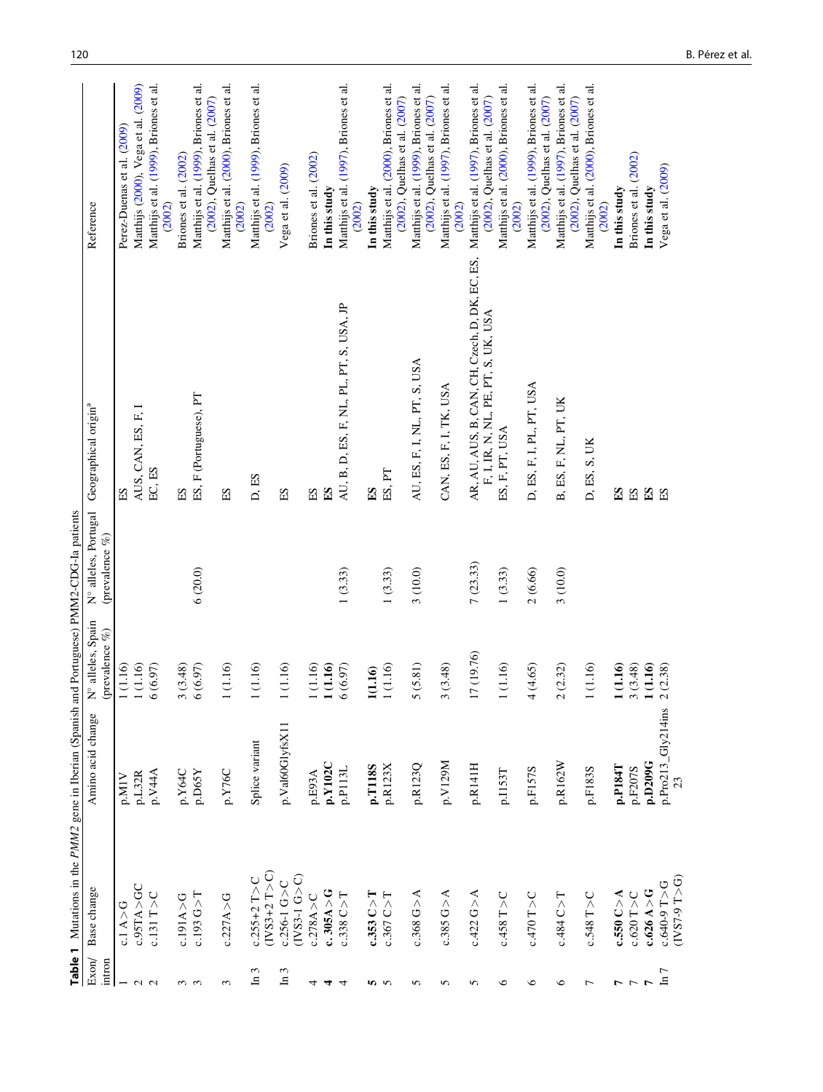|                          | Table 1 Mutations in the PMM2 gene in Iberian (Spanish |                          |                                     | and Portuguese) PMM2-CDG-Ia patients   |                                                                                                                              |                                                                         |
|--------------------------|--------------------------------------------------------|--------------------------|-------------------------------------|----------------------------------------|------------------------------------------------------------------------------------------------------------------------------|-------------------------------------------------------------------------|
| Exon<br>intron           | Base change                                            | Amino acid change        | N° alleles, Spain<br>(prevalence %) | N° alleles, Portugal<br>(prevalence %) | Geographical origin <sup>a</sup>                                                                                             | Reference                                                               |
|                          | c.1 A > G                                              | p.M1V                    | 1(1.16)                             |                                        | ES                                                                                                                           | Perez-Duenas et al. (2009)                                              |
|                          | c.95TA > GC                                            | p.L32R                   | 1(1.16)                             |                                        | AUS, CAN, ES, F, I                                                                                                           | Matthijs (2000), Vega et al. (2009)                                     |
| $\sim$ $\sim$            | $c.131T>$ C                                            | p.V44A                   | 6(6.97)                             |                                        | EC, ES                                                                                                                       | Matthijs et al. (1999), Briones et al.<br>(2002)                        |
|                          | c.191A>G                                               | p.Y64C                   | 3(3.48)                             |                                        | ES                                                                                                                           | Briones et al. (2002)                                                   |
| ო ო                      | c.193G > T                                             | p.D65Y                   | 6(6.97)                             | 6(20.0)                                | ES, F (Portuguese), PT                                                                                                       | Matthijs et al. (1999), Briones et al.<br>(2002), Quelhas et al. (2007) |
| 3                        | c.227A > G                                             | p.Y76C                   | 1(1.16)                             |                                        | ES                                                                                                                           | Matthijs et al. (2000), Briones et al.<br>(2002)                        |
| $\epsilon$<br>크          | $(IVS3+2T> C)$<br>$c.255 + 2T$ >C                      | Splice variant           | 1(1.16)                             |                                        | D, ES                                                                                                                        | Matthijs et al. (1999), Briones et al.<br>(2002)                        |
| In 3                     | $(IVS3-1 G > C)$<br>$c.256 - 1$ G > C                  | p.Val60GlyfsX11          | 1(1.16)                             |                                        | ES                                                                                                                           | Vega et al. (2009)                                                      |
| 4                        | c.278A > C                                             | p.E93A                   | $1(1.16)$                           |                                        | ES                                                                                                                           | Briones et al. (2002)                                                   |
| 4                        | c.305A > G                                             | p.Y102C                  | 1 (1.16)                            |                                        | E <sub>S</sub>                                                                                                               | In this study                                                           |
| 4                        | c.338C > T                                             | p.P113L                  | 6(6.97)                             | 1(3.33)                                | AU, B, D, ES, F, NL, PL, PT, S, USA, JP                                                                                      | Matthijs et al. (1997), Briones et al.<br>(2002)                        |
|                          | $c.353C\!>\!T$                                         | p.T118S                  | 1(1.16)                             |                                        | $_{\rm ES}$                                                                                                                  | In this study                                                           |
| <b>50 W</b>              | c.367 C > T                                            | p.R123X                  | 1(1.16)                             | 1(3.33)                                | ES, PT                                                                                                                       | Matthijs et al. (2000), Briones et al.<br>(2002), Quelhas et al. (2007) |
| 5                        | c.368 G > A                                            | p.R123Q                  | 5(5.81)                             | 3(10.0)                                | AU, ES, F, I, NL, PT, S, USA                                                                                                 | Matthijs et al. (1999), Briones et al.<br>(2002), Quelhas et al. (2007) |
| 5                        | c.385 G > A                                            | p.V129M                  | 3(3.48)                             |                                        | CAN, ES, F, I, TK, USA                                                                                                       | Matthijs et al. (1997), Briones et al.<br>(2002)                        |
| 5                        | c.422 G > A                                            | p.R141H                  | 17 (19.76)                          | 7(23.33)                               | AR, AU, AUS, B, CAN, CH, Czech, D, DK, EC, ES, Matthijs et al. (1997), Briones et al.<br>F, I, IR, N, NL, PE, PT, S, UK, USA | (2002), Quelhas et al. (2007)                                           |
| $\circ$                  | $c.458$ T > C                                          | p.I153T                  | 1(1.16)                             | 1(3.33)                                | ES, F, PT, USA                                                                                                               | Matthijs et al. (2000), Briones et al.<br>(2002)                        |
| $\circ$                  | c.470 T > C                                            | p.F157S                  | 4(4.65)                             | 2(6.66)                                | D, ES, F, I, PL, PT, USA                                                                                                     | Matthijs et al. (1999), Briones et al.<br>(2002), Quelhas et al. (2007) |
| $\circ$                  | c.484 C > T                                            | p.R162W                  | 2(2.32)                             | 3(10.0)                                | B, ES, F, NL, PT, UK                                                                                                         | Matthijs et al. (1997), Briones et al.<br>(2002), Quelhas et al. (2007) |
| $\overline{ }$           | $c.548$ T > C                                          | p.F183S                  | 1(1.16)                             |                                        | D, ES, S, UK                                                                                                                 | Matthijs et al. (2000), Briones et al.<br>(2002)                        |
| L                        | c.550 C > A                                            | p.P184T                  | 1(1.16)                             |                                        | $_{ES}$                                                                                                                      | In this study                                                           |
| $\overline{\phantom{a}}$ | $c.620$ T $>C$                                         | p.F207S                  | 3(3.48)                             |                                        | $\mathop{\hbox{\rm E}}$                                                                                                      | Briones et al. (2002)                                                   |
|                          | c.626 A > G                                            | p.D209G                  | 1(1.16)                             |                                        | E <sub>S</sub>                                                                                                               | In this study                                                           |
| $\ln 7$                  | $(IVST-9T> G)$<br>c.640-9 T>G                          | p.Pro213_Gly214ins<br>23 | 2(2.38)                             |                                        | $\mathop{\hbox{\rm E}}$                                                                                                      | Vega et al. (2009)                                                      |

<span id="page-3-0"></span>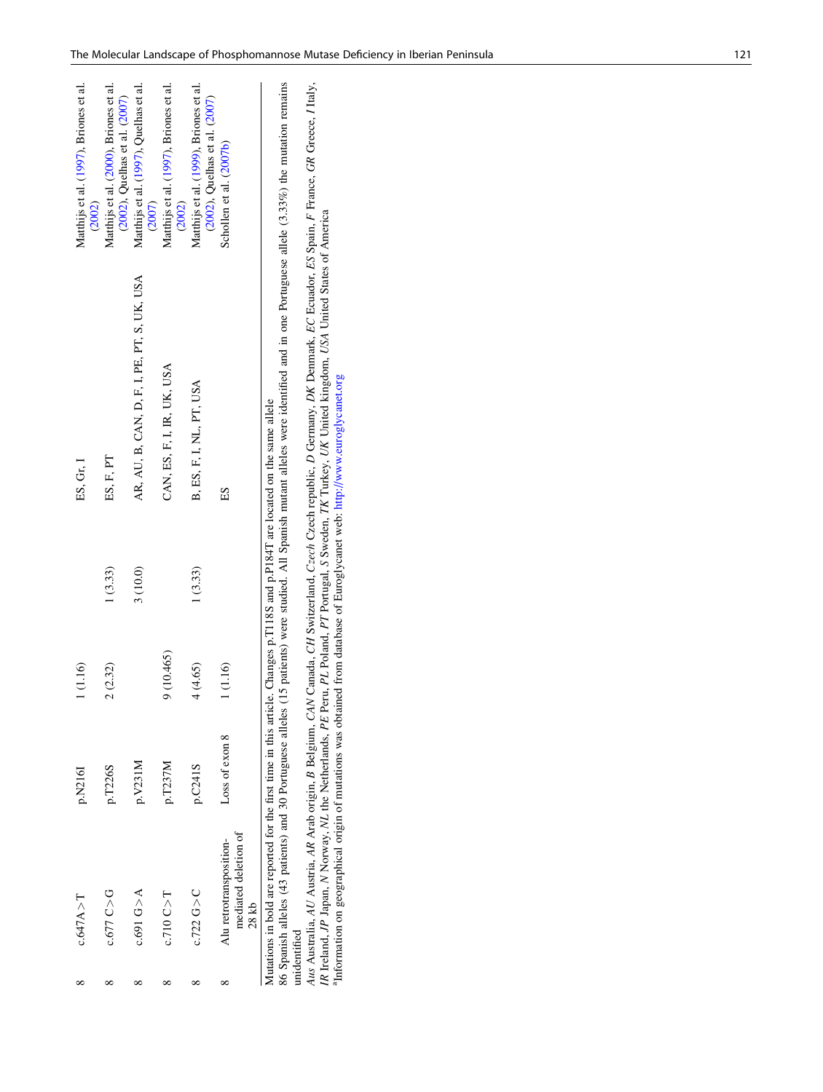| c.647A > T                                                                                                                    | p.N216I        | (1.16)     |         | ES, Gr, I                                   | Matthijs et al. (1997), Briones et al.<br>(2002)                        |
|-------------------------------------------------------------------------------------------------------------------------------|----------------|------------|---------|---------------------------------------------|-------------------------------------------------------------------------|
| c.677C > G                                                                                                                    | p.T226S        | 2(2.32)    | 1(3.33) | ES, F, PT                                   | Matthijs et al. (2000), Briones et al.<br>(2002), Quelhas et al. (2007) |
| c.691 G > A                                                                                                                   | p.V231M        |            | 3(10.0) | AR, AU, B, CAN, D, F, I, PE, PT, S, UK, USA | Matthijs et al. (1997), Quelhas et al.<br>(2007)                        |
| $c.710$ $C > T$                                                                                                               | p.T237M        | 9 (10.465) |         | CAN, ES, F, I, IR, UK, USA                  | Matthijs et al. (1997), Briones et al.<br>(2002)                        |
| $c.722$ G $>$ C                                                                                                               | p.C241S        | 4 (4.65)   | 1(3.33) | B, ES, F, I, NL, PT, USA                    | Matthijs et al. (1999), Briones et al.                                  |
| mediated deletion of<br>Alu retrotransposition-<br>28kb                                                                       | Loss of exon 8 | (1.16)     |         | ES                                          | (2002), Quelhas et al. (2007)<br>Schollen et al. (2007b)                |
| Mutations in bold are reported for the first time in this article. Changes p.T118S and p.P184T are located on the same allele |                |            |         |                                             |                                                                         |

86 Spanish alleles (43 patients) and 30 Portuguese alleles (15 patients) were studied. All Spanish mutant alleles were identified and in one Portuguese allele (3.33%) the mutation remains 86 Spanish alleles (43 patients) and 30 Portuguese alleles (15 patients) were studied. All Spanish mutant alleles were identified and in one Portuguese allele (3.33%) the mutation remains unidentified unidentified

Aus Australia, AU Austria, AR Arab origin, B Belgium, CAN Canada, CH Switzerland, Czech Czech republic, D Germany, DK Denmark, EC Ecuador, ES Spain, F France, GR Greece, I Italy,<br>IR Ireland, JP Japan, N Norway, NL the Neth F France, GR Greece, I Italy, N Norway, NL the Netherlands, PE Peru, PL Poland, PT Portugal, S Sweden, TK Turkey, UK United kingdom, USA United States of America D Germany, DK Denmark, EC Ecuador, ES Spain, aInformation on geographical origin of mutations was obtained from database of Euroglycanet web: <http://www.euroglycanet.org> B Belgium, CAN Canada, CH Switzerland, Czech Czech republic, Aus Australia, AU Austria, AR Arab origin, IR Ireland, JP Japan,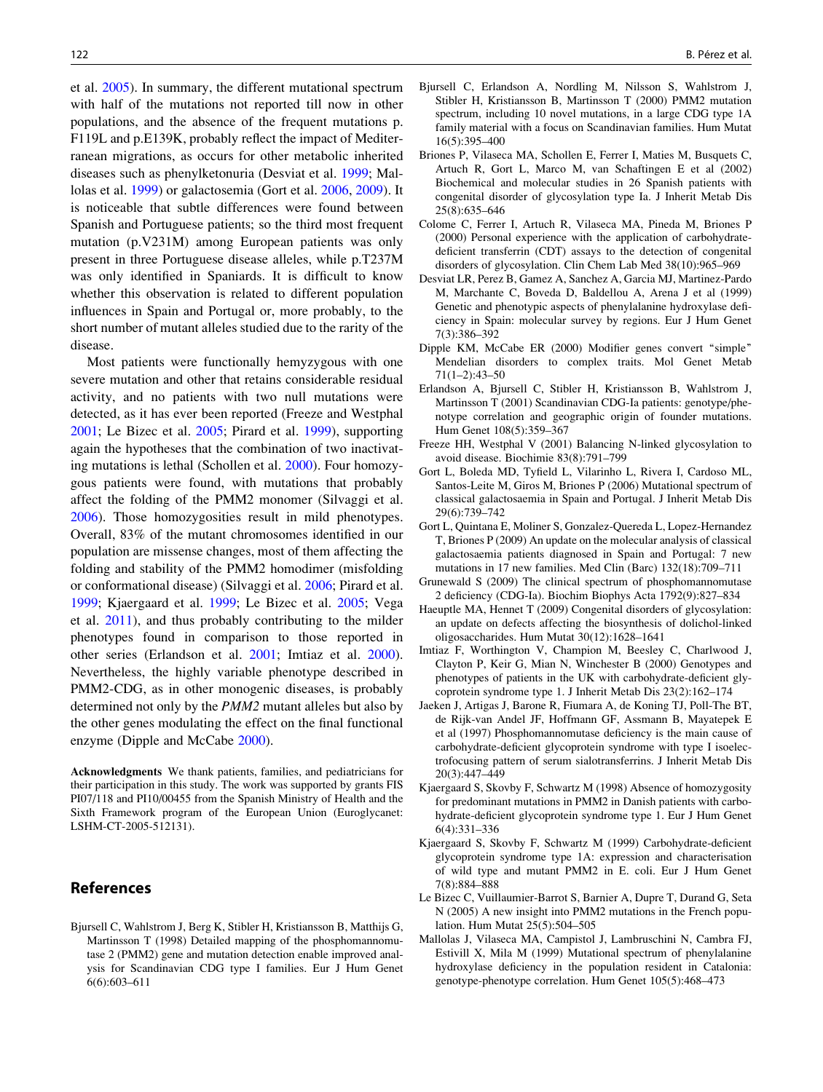<span id="page-5-0"></span>et al. 2005). In summary, the different mutational spectrum with half of the mutations not reported till now in other populations, and the absence of the frequent mutations p. F119L and p.E139K, probably reflect the impact of Mediterranean migrations, as occurs for other metabolic inherited diseases such as phenylketonuria (Desviat et al. 1999; Mallolas et al. 1999) or galactosemia (Gort et al. 2006, 2009). It is noticeable that subtle differences were found between Spanish and Portuguese patients; so the third most frequent mutation (p.V231M) among European patients was only present in three Portuguese disease alleles, while p.T237M was only identified in Spaniards. It is difficult to know whether this observation is related to different population influences in Spain and Portugal or, more probably, to the short number of mutant alleles studied due to the rarity of the disease.

Most patients were functionally hemyzygous with one severe mutation and other that retains considerable residual activity, and no patients with two null mutations were detected, as it has ever been reported (Freeze and Westphal 2001; Le Bizec et al. 2005; Pirard et al. [1999\)](#page-6-0), supporting again the hypotheses that the combination of two inactivating mutations is lethal (Schollen et al. [2000](#page-6-0)). Four homozygous patients were found, with mutations that probably affect the folding of the PMM2 monomer (Silvaggi et al. [2006\)](#page-6-0). Those homozygosities result in mild phenotypes. Overall, 83% of the mutant chromosomes identified in our population are missense changes, most of them affecting the folding and stability of the PMM2 homodimer (misfolding or conformational disease) (Silvaggi et al. [2006;](#page-6-0) Pirard et al. [1999;](#page-6-0) Kjaergaard et al. 1999; Le Bizec et al. 2005; Vega et al. [2011](#page-6-0)), and thus probably contributing to the milder phenotypes found in comparison to those reported in other series (Erlandson et al. 2001; Imtiaz et al. 2000). Nevertheless, the highly variable phenotype described in PMM2-CDG, as in other monogenic diseases, is probably determined not only by the PMM2 mutant alleles but also by the other genes modulating the effect on the final functional enzyme (Dipple and McCabe 2000).

Acknowledgments We thank patients, families, and pediatricians for their participation in this study. The work was supported by grants FIS PI07/118 and PI10/00455 from the Spanish Ministry of Health and the Sixth Framework program of the European Union (Euroglycanet: LSHM-CT-2005-512131).

#### References

Bjursell C, Wahlstrom J, Berg K, Stibler H, Kristiansson B, Matthijs G, Martinsson T (1998) Detailed mapping of the phosphomannomutase 2 (PMM2) gene and mutation detection enable improved analysis for Scandinavian CDG type I families. Eur J Hum Genet 6(6):603–611

- Bjursell C, Erlandson A, Nordling M, Nilsson S, Wahlstrom J, Stibler H, Kristiansson B, Martinsson T (2000) PMM2 mutation spectrum, including 10 novel mutations, in a large CDG type 1A family material with a focus on Scandinavian families. Hum Mutat 16(5):395–400
- Briones P, Vilaseca MA, Schollen E, Ferrer I, Maties M, Busquets C, Artuch R, Gort L, Marco M, van Schaftingen E et al (2002) Biochemical and molecular studies in 26 Spanish patients with congenital disorder of glycosylation type Ia. J Inherit Metab Dis 25(8):635–646
- Colome C, Ferrer I, Artuch R, Vilaseca MA, Pineda M, Briones P (2000) Personal experience with the application of carbohydratedeficient transferrin (CDT) assays to the detection of congenital disorders of glycosylation. Clin Chem Lab Med 38(10):965–969
- Desviat LR, Perez B, Gamez A, Sanchez A, Garcia MJ, Martinez-Pardo M, Marchante C, Boveda D, Baldellou A, Arena J et al (1999) Genetic and phenotypic aspects of phenylalanine hydroxylase deficiency in Spain: molecular survey by regions. Eur J Hum Genet 7(3):386–392
- Dipple KM, McCabe ER (2000) Modifier genes convert ''simple'' Mendelian disorders to complex traits. Mol Genet Metab 71(1–2):43–50
- Erlandson A, Bjursell C, Stibler H, Kristiansson B, Wahlstrom J, Martinsson T (2001) Scandinavian CDG-Ia patients: genotype/phenotype correlation and geographic origin of founder mutations. Hum Genet 108(5):359–367
- Freeze HH, Westphal V (2001) Balancing N-linked glycosylation to avoid disease. Biochimie 83(8):791–799
- Gort L, Boleda MD, Tyfield L, Vilarinho L, Rivera I, Cardoso ML, Santos-Leite M, Giros M, Briones P (2006) Mutational spectrum of classical galactosaemia in Spain and Portugal. J Inherit Metab Dis 29(6):739–742
- Gort L, Quintana E, Moliner S, Gonzalez-Quereda L, Lopez-Hernandez T, Briones P (2009) An update on the molecular analysis of classical galactosaemia patients diagnosed in Spain and Portugal: 7 new mutations in 17 new families. Med Clin (Barc) 132(18):709–711
- Grunewald S (2009) The clinical spectrum of phosphomannomutase 2 deficiency (CDG-Ia). Biochim Biophys Acta 1792(9):827–834
- Haeuptle MA, Hennet T (2009) Congenital disorders of glycosylation: an update on defects affecting the biosynthesis of dolichol-linked oligosaccharides. Hum Mutat 30(12):1628–1641
- Imtiaz F, Worthington V, Champion M, Beesley C, Charlwood J, Clayton P, Keir G, Mian N, Winchester B (2000) Genotypes and phenotypes of patients in the UK with carbohydrate-deficient glycoprotein syndrome type 1. J Inherit Metab Dis 23(2):162–174
- Jaeken J, Artigas J, Barone R, Fiumara A, de Koning TJ, Poll-The BT, de Rijk-van Andel JF, Hoffmann GF, Assmann B, Mayatepek E et al (1997) Phosphomannomutase deficiency is the main cause of carbohydrate-deficient glycoprotein syndrome with type I isoelectrofocusing pattern of serum sialotransferrins. J Inherit Metab Dis 20(3):447–449
- Kjaergaard S, Skovby F, Schwartz M (1998) Absence of homozygosity for predominant mutations in PMM2 in Danish patients with carbohydrate-deficient glycoprotein syndrome type 1. Eur J Hum Genet 6(4):331–336
- Kjaergaard S, Skovby F, Schwartz M (1999) Carbohydrate-deficient glycoprotein syndrome type 1A: expression and characterisation of wild type and mutant PMM2 in E. coli. Eur J Hum Genet 7(8):884–888
- Le Bizec C, Vuillaumier-Barrot S, Barnier A, Dupre T, Durand G, Seta N (2005) A new insight into PMM2 mutations in the French population. Hum Mutat 25(5):504–505
- Mallolas J, Vilaseca MA, Campistol J, Lambruschini N, Cambra FJ, Estivill X, Mila M (1999) Mutational spectrum of phenylalanine hydroxylase deficiency in the population resident in Catalonia: genotype-phenotype correlation. Hum Genet 105(5):468–473